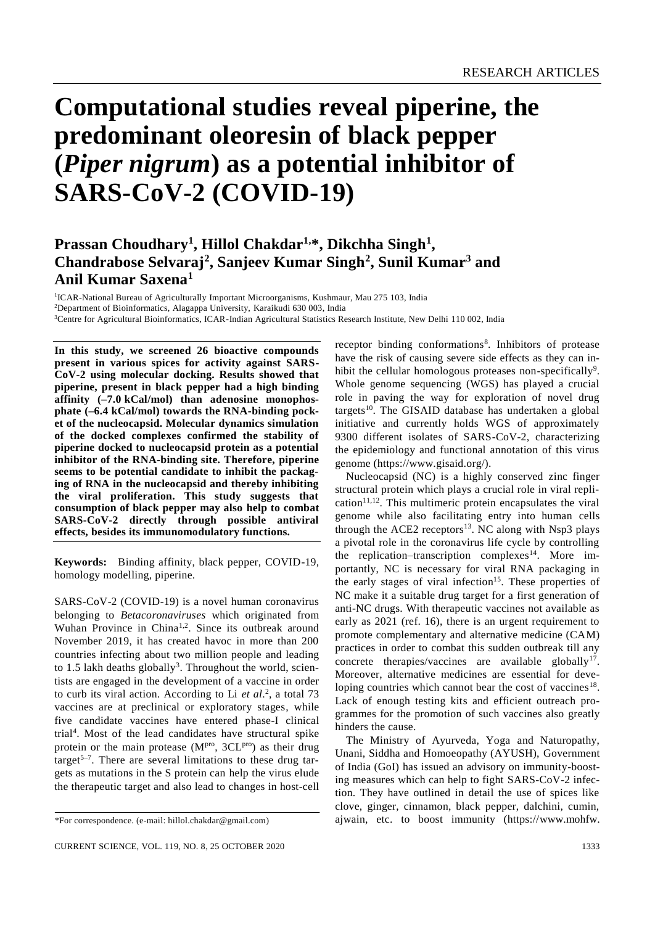# **Computational studies reveal piperine, the predominant oleoresin of black pepper (***Piper nigrum***) as a potential inhibitor of SARS-CoV-2 (COVID-19)**

# **Prassan Choudhary<sup>1</sup> , Hillol Chakdar1,\*, Dikchha Singh<sup>1</sup> , Chandrabose Selvaraj<sup>2</sup> , Sanjeev Kumar Singh<sup>2</sup> , Sunil Kumar<sup>3</sup> and Anil Kumar Saxena<sup>1</sup>**

<sup>1</sup>ICAR-National Bureau of Agriculturally Important Microorganisms, Kushmaur, Mau 275 103, India <sup>2</sup>Department of Bioinformatics, Alagappa University, Karaikudi 630 003, India <sup>3</sup>Centre for Agricultural Bioinformatics, ICAR-Indian Agricultural Statistics Research Institute, New Delhi 110 002, India

**In this study, we screened 26 bioactive compounds present in various spices for activity against SARS-CoV-2 using molecular docking. Results showed that piperine, present in black pepper had a high binding affinity (–7.0 kCal/mol) than adenosine monophosphate (–6.4 kCal/mol) towards the RNA-binding pocket of the nucleocapsid. Molecular dynamics simulation of the docked complexes confirmed the stability of piperine docked to nucleocapsid protein as a potential inhibitor of the RNA-binding site. Therefore, piperine seems to be potential candidate to inhibit the packaging of RNA in the nucleocapsid and thereby inhibiting the viral proliferation. This study suggests that consumption of black pepper may also help to combat SARS-CoV-2 directly through possible antiviral effects, besides its immunomodulatory functions.**

**Keywords:** Binding affinity, black pepper, COVID-19, homology modelling, piperine.

SARS-CoV-2 (COVID-19) is a novel human coronavirus belonging to *Betacoronaviruses* which originated from Wuhan Province in China<sup>1,2</sup>. Since its outbreak around November 2019, it has created havoc in more than 200 countries infecting about two million people and leading to 1.5 lakh deaths globally<sup>3</sup>. Throughout the world, scientists are engaged in the development of a vaccine in order to curb its viral action. According to Li *et al*. 2 , a total 73 vaccines are at preclinical or exploratory stages, while five candidate vaccines have entered phase-I clinical trial<sup>4</sup> . Most of the lead candidates have structural spike protein or the main protease (MPro, 3CLPro) as their drug target<sup>5–7</sup>. There are several limitations to these drug targets as mutations in the S protein can help the virus elude the therapeutic target and also lead to changes in host-cell

receptor binding conformations<sup>8</sup>. Inhibitors of protease have the risk of causing severe side effects as they can inhibit the cellular homologous proteases non-specifically<sup>9</sup>. Whole genome sequencing (WGS) has played a crucial role in paving the way for exploration of novel drug targets<sup>10</sup>. The GISAID database has undertaken a global initiative and currently holds WGS of approximately 9300 different isolates of SARS-CoV-2, characterizing the epidemiology and functional annotation of this virus genome (https://www.gisaid.org/).

Nucleocapsid (NC) is a highly conserved zinc finger structural protein which plays a crucial role in viral repli $cation<sup>11,12</sup>$ . This multimeric protein encapsulates the viral genome while also facilitating entry into human cells through the ACE2 receptors<sup>13</sup>. NC along with Nsp3 plays a pivotal role in the coronavirus life cycle by controlling the replication–transcription complexes<sup>14</sup>. More importantly, NC is necessary for viral RNA packaging in the early stages of viral infection<sup>15</sup>. These properties of NC make it a suitable drug target for a first generation of anti-NC drugs. With therapeutic vaccines not available as early as 2021 (ref. 16), there is an urgent requirement to promote complementary and alternative medicine (CAM) practices in order to combat this sudden outbreak till any concrete therapies/vaccines are available globally<sup>17</sup>. Moreover, alternative medicines are essential for developing countries which cannot bear the cost of vaccines<sup>18</sup>. Lack of enough testing kits and efficient outreach programmes for the promotion of such vaccines also greatly hinders the cause.

The Ministry of Ayurveda, Yoga and Naturopathy, Unani, Siddha and Homoeopathy (AYUSH), Government of India (GoI) has issued an advisory on immunity-boosting measures which can help to fight SARS-CoV-2 infection. They have outlined in detail the use of spices like clove, ginger, cinnamon, black pepper, dalchini, cumin, ajwain, etc. to boost immunity (https:/[/www.mohfw.](http://www.mohfw.gov.in/pdf/ImmunityBoostingAYUSHAdvisory.pdf))

<sup>\*</sup>For correspondence. (e-mail: [hillol.chakdar@gmail.com\)](mailto:hillol.chakdar@gmail.com)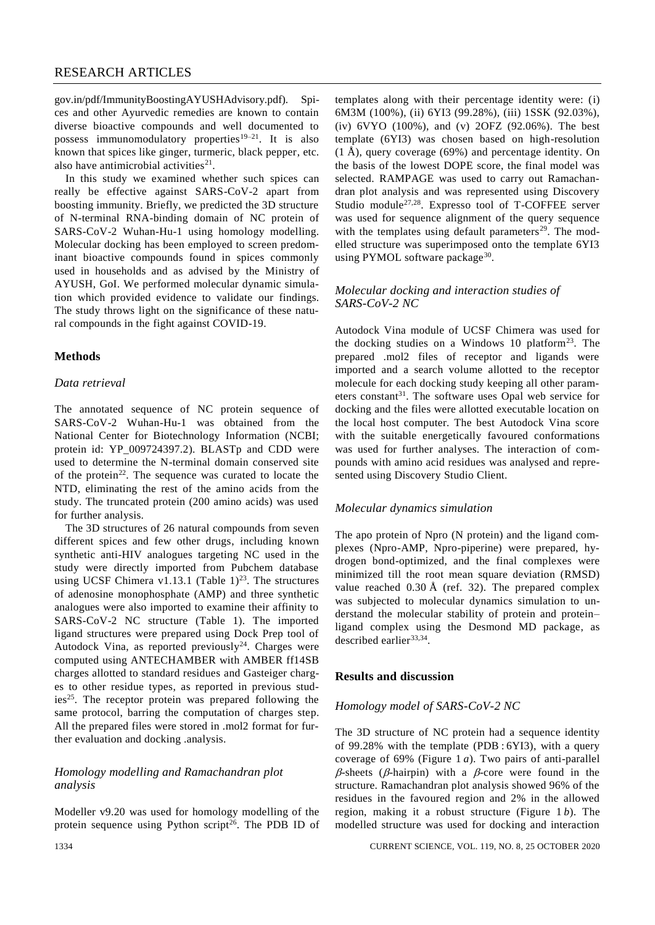[gov.in/pdf/ImmunityBoostingAYUSHAdvisory.pdf\).](http://www.mohfw.gov.in/pdf/ImmunityBoostingAYUSHAdvisory.pdf)) Spices and other Ayurvedic remedies are known to contain diverse bioactive compounds and well documented to possess immunomodulatory properties<sup>19–21</sup>. It is also known that spices like ginger, turmeric, black pepper, etc. also have antimicrobial activities $2<sup>1</sup>$ .

In this study we examined whether such spices can really be effective against SARS-CoV-2 apart from boosting immunity. Briefly, we predicted the 3D structure of N-terminal RNA-binding domain of NC protein of SARS-CoV-2 Wuhan-Hu-1 using homology modelling. Molecular docking has been employed to screen predominant bioactive compounds found in spices commonly used in households and as advised by the Ministry of AYUSH, GoI. We performed molecular dynamic simulation which provided evidence to validate our findings. The study throws light on the significance of these natural compounds in the fight against COVID-19.

## **Methods**

#### *Data retrieval*

The annotated sequence of NC protein sequence of SARS-CoV-2 Wuhan-Hu-1 was obtained from the National Center for Biotechnology Information (NCBI; protein id: [YP\\_009724397.2\)](https://www.ncbi.nlm.nih.gov/protein/1798174255). BLASTp and CDD were used to determine the N-terminal domain conserved site of the protein<sup>22</sup>. The sequence was curated to locate the NTD, eliminating the rest of the amino acids from the study. The truncated protein (200 amino acids) was used for further analysis.

The 3D structures of 26 natural compounds from seven different spices and few other drugs, including known synthetic anti-HIV analogues targeting NC used in the study were directly imported from Pubchem database using UCSF Chimera v1.13.1 (Table  $1)^{23}$ . The structures of adenosine monophosphate (AMP) and three synthetic analogues were also imported to examine their affinity to SARS-CoV-2 NC structure (Table 1). The imported ligand structures were prepared using Dock Prep tool of Autodock Vina, as reported previously<sup>24</sup>. Charges were computed using ANTECHAMBER with AMBER ff14SB charges allotted to standard residues and Gasteiger charges to other residue types, as reported in previous studies<sup>25</sup>. The receptor protein was prepared following the same protocol, barring the computation of charges step. All the prepared files were stored in .mol2 format for further evaluation and docking .analysis.

## *Homology modelling and Ramachandran plot analysis*

Modeller v9.20 was used for homology modelling of the protein sequence using Python script<sup>26</sup>. The PDB ID of templates along with their percentage identity were: (i) 6M3M (100%), (ii) 6YI3 (99.28%), (iii) 1SSK (92.03%), (iv) 6VYO (100%), and (v) 2OFZ (92.06%). The best template (6YI3) was chosen based on high-resolution (1 Å), query coverage (69%) and percentage identity. On the basis of the lowest DOPE score, the final model was selected. RAMPAGE was used to carry out Ramachandran plot analysis and was represented using Discovery Studio module27,28. Expresso tool of T-COFFEE server was used for sequence alignment of the query sequence with the templates using default parameters<sup>29</sup>. The modelled structure was superimposed onto the template 6YI3 using PYMOL software package<sup>30</sup>.

#### *Molecular docking and interaction studies of SARS-CoV-2 NC*

Autodock Vina module of UCSF Chimera was used for the docking studies on a Windows 10 platform<sup>23</sup>. The prepared .mol2 files of receptor and ligands were imported and a search volume allotted to the receptor molecule for each docking study keeping all other parameters constant<sup>31</sup>. The software uses Opal web service for docking and the files were allotted executable location on the local host computer. The best Autodock Vina score with the suitable energetically favoured conformations was used for further analyses. The interaction of compounds with amino acid residues was analysed and represented using Discovery Studio Client.

#### *Molecular dynamics simulation*

The apo protein of Npro (N protein) and the ligand complexes (Npro-AMP, Npro-piperine) were prepared, hydrogen bond-optimized, and the final complexes were minimized till the root mean square deviation (RMSD) value reached 0.30 Å (ref. 32). The prepared complex was subjected to molecular dynamics simulation to understand the molecular stability of protein and protein– ligand complex using the Desmond MD package, as described earlier<sup>33,34</sup>.

## **Results and discussion**

## *Homology model of SARS-CoV-2 NC*

The 3D structure of NC protein had a sequence identity of 99.28% with the template (PDB : 6YI3), with a query coverage of 69% (Figure 1 *a*). Two pairs of anti-parallel  $\beta$ -sheets ( $\beta$ -hairpin) with a  $\beta$ -core were found in the structure. Ramachandran plot analysis showed 96% of the residues in the favoured region and 2% in the allowed region, making it a robust structure (Figure 1 *b*). The modelled structure was used for docking and interaction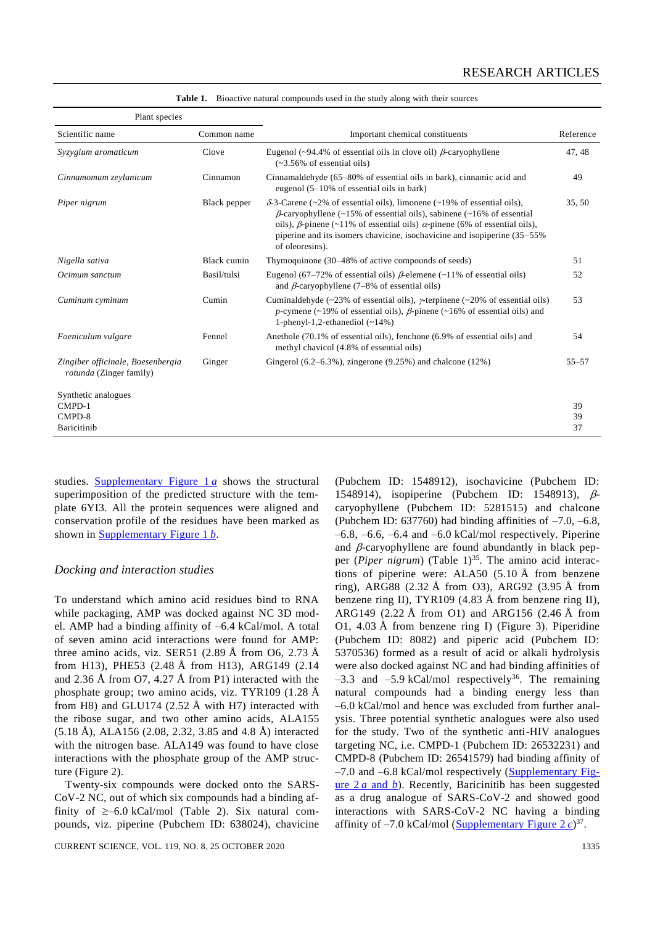| Plant species                                                       |              |                                                                                                                                                                                                                                                                                                                                                            |           |
|---------------------------------------------------------------------|--------------|------------------------------------------------------------------------------------------------------------------------------------------------------------------------------------------------------------------------------------------------------------------------------------------------------------------------------------------------------------|-----------|
| Scientific name                                                     | Common name  | Important chemical constituents                                                                                                                                                                                                                                                                                                                            |           |
| Syzygium aromaticum                                                 | Clove        | Eugenol (~94.4% of essential oils in clove oil) $\beta$ -caryophyllene<br>$(-3.56\% \text{ of essential oils})$                                                                                                                                                                                                                                            | 47, 48    |
| Cinnamomum zeylanicum                                               | Cinnamon     | Cinnamaldehyde (65–80% of essential oils in bark), cinnamic acid and<br>eugenol $(5-10\% \text{ of essential oils in bark})$                                                                                                                                                                                                                               |           |
| Piper nigrum                                                        | Black pepper | $\delta$ -3-Carene (~2% of essential oils), limonene (~19% of essential oils),<br>$\beta$ -caryophyllene (~15% of essential oils), sabinene (~16% of essential<br>oils), $\beta$ -pinene (~11% of essential oils) $\alpha$ -pinene (6% of essential oils),<br>piperine and its isomers chavicine, isochavicine and isopiperine (35–55%)<br>of oleoresins). | 35, 50    |
| Nigella sativa                                                      | Black cumin  | Thymoquinone (30–48% of active compounds of seeds)                                                                                                                                                                                                                                                                                                         | 51        |
| Ocimum sanctum                                                      | Basil/tulsi  | Eugenol (67–72% of essential oils) $\beta$ -elemene (~11% of essential oils)<br>and $\beta$ -caryophyllene (7–8% of essential oils)                                                                                                                                                                                                                        |           |
| Cuminum cyminum                                                     | Cumin        | Cuminaldehyde (~23% of essential oils), $\gamma$ -terpinene (~20% of essential oils)<br>p-cymene (~19% of essential oils), $\beta$ -pinene (~16% of essential oils) and<br>1-phenyl-1,2-ethanediol $(-14%)$                                                                                                                                                |           |
| Foeniculum vulgare                                                  | Fennel       | Anethole (70.1% of essential oils), fenchone (6.9% of essential oils) and<br>methyl chavicol (4.8% of essential oils)                                                                                                                                                                                                                                      |           |
| Zingiber officinale, Boesenbergia<br><i>rotunda</i> (Zinger family) | Ginger       | Gingerol $(6.2-6.3\%)$ , zingerone $(9.25\%)$ and chalcone $(12\%)$                                                                                                                                                                                                                                                                                        | $55 - 57$ |
| Synthetic analogues                                                 |              |                                                                                                                                                                                                                                                                                                                                                            |           |
| CMPD-1                                                              |              |                                                                                                                                                                                                                                                                                                                                                            | 39        |
| CMPD-8                                                              |              |                                                                                                                                                                                                                                                                                                                                                            | 39        |
| Baricitinib                                                         |              |                                                                                                                                                                                                                                                                                                                                                            | 37        |

Table 1. Bioactive natural compounds used in the study along with their sources

studies. [Supplementary Figure 1](https://www.currentscience.ac.in/Volumes/119/08/1333-suppl.pdf) *a* shows the structural superimposition of the predicted structure with the template 6YI3. All the protein sequences were aligned and conservation profile of the residues have been marked as shown in [Supplementary Figure 1](https://www.currentscience.ac.in/Volumes/119/08/1333-suppl.pdf) *b*.

#### *Docking and interaction studies*

To understand which amino acid residues bind to RNA while packaging, AMP was docked against NC 3D model. AMP had a binding affinity of –6.4 kCal/mol. A total of seven amino acid interactions were found for AMP: three amino acids, viz. SER51 (2.89 Å from O6, 2.73 Å from H13), PHE53 (2.48 Å from H13), ARG149 (2.14 and 2.36 Å from O7, 4.27 Å from P1) interacted with the phosphate group; two amino acids, viz. TYR109 (1.28 Å from H8) and GLU174 (2.52 Å with H7) interacted with the ribose sugar, and two other amino acids, ALA155 (5.18 Å), ALA156 (2.08, 2.32, 3.85 and 4.8 Å) interacted with the nitrogen base. ALA149 was found to have close interactions with the phosphate group of the AMP structure (Figure 2).

Twenty-six compounds were docked onto the SARS-CoV-2 NC, out of which six compounds had a binding affinity of  $\geq -6.0$  kCal/mol (Table 2). Six natural compounds, viz. piperine (Pubchem ID: 638024), chavicine

CURRENT SCIENCE, VOL. 119, NO. 8, 25 OCTOBER 2020 1335

1548914), isopiperine (Pubchem ID: 1548913),  $\beta$ caryophyllene (Pubchem ID: 5281515) and chalcone (Pubchem ID:  $637760$ ) had binding affinities of  $-7.0, -6.8$ ,  $-6.8$ ,  $-6.6$ ,  $-6.4$  and  $-6.0$  kCal/mol respectively. Piperine and  $\beta$ -caryophyllene are found abundantly in black pepper (*Piper nigrum*) (Table 1)<sup>35</sup>. The amino acid interactions of piperine were: ALA50  $(5.10 \text{ Å}$  from benzene ring), ARG88 (2.32 Å from O3), ARG92 (3.95 Å from benzene ring II), TYR109 (4.83 Å from benzene ring II), ARG149 (2.22 Å from O1) and ARG156 (2.46 Å from O1, 4.03 Å from benzene ring I) (Figure 3). Piperidine (Pubchem ID: 8082) and piperic acid (Pubchem ID: 5370536) formed as a result of acid or alkali hydrolysis were also docked against NC and had binding affinities of  $-3.3$  and  $-5.9$  kCal/mol respectively<sup>36</sup>. The remaining natural compounds had a binding energy less than –6.0 kCal/mol and hence was excluded from further analysis. Three potential synthetic analogues were also used for the study. Two of the synthetic anti-HIV analogues targeting NC, i.e. CMPD-1 (Pubchem ID: 26532231) and CMPD-8 (Pubchem ID: 26541579) had binding affinity of  $-7.0$  and  $-6.8$  kCal/mol respectively [\(Supplementary Fig](https://www.currentscience.ac.in/Volumes/119/08/1333-suppl.pdf)[ure 2](https://www.currentscience.ac.in/Volumes/119/08/1333-suppl.pdf) *a* and *b*). Recently, Baricinitib has been suggested as a drug analogue of SARS-CoV-2 and showed good interactions with SARS-CoV-2 NC having a binding affinity of  $-7.0$  kCal/mol [\(Supplementary](https://www.currentscience.ac.in/Volumes/119/08/1333-suppl.pdf) Figure  $2 c$ )<sup>37</sup>.

(Pubchem ID: 1548912), isochavicine (Pubchem ID: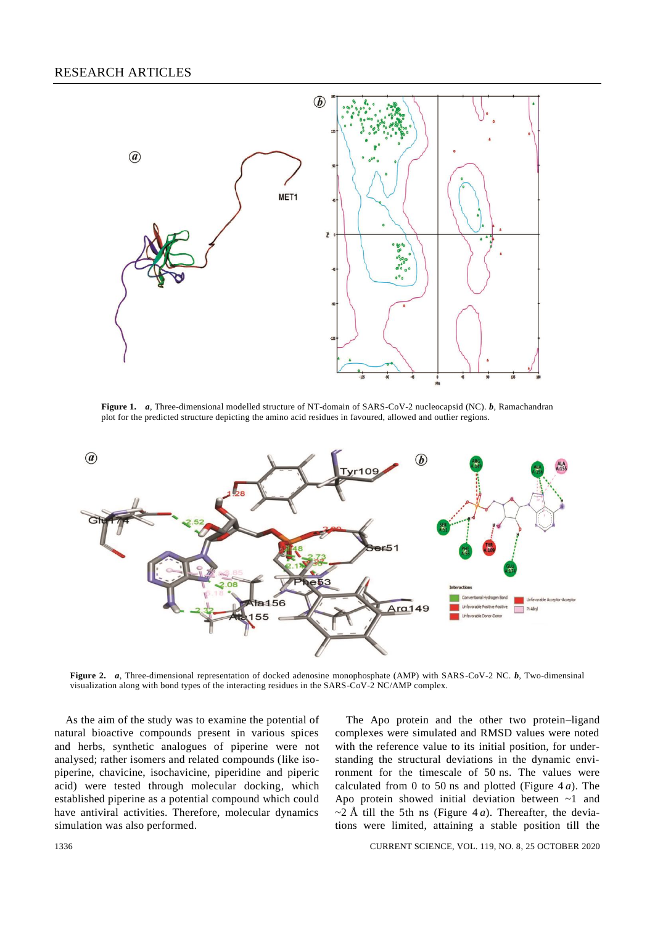

**Figure 1.** *a*, Three-dimensional modelled structure of NT-domain of SARS-CoV-2 nucleocapsid (NC). *b*, Ramachandran plot for the predicted structure depicting the amino acid residues in favoured, allowed and outlier regions.



**Figure 2.** *a*, Three-dimensional representation of docked adenosine monophosphate (AMP) with SARS-CoV-2 NC. *b*, Two-dimensinal visualization along with bond types of the interacting residues in the SARS-CoV-2 NC/AMP complex.

As the aim of the study was to examine the potential of natural bioactive compounds present in various spices and herbs, synthetic analogues of piperine were not analysed; rather isomers and related compounds (like isopiperine, chavicine, isochavicine, piperidine and piperic acid) were tested through molecular docking, which established piperine as a potential compound which could have antiviral activities. Therefore, molecular dynamics simulation was also performed.

The Apo protein and the other two protein–ligand complexes were simulated and RMSD values were noted with the reference value to its initial position, for understanding the structural deviations in the dynamic environment for the timescale of 50 ns. The values were calculated from 0 to 50 ns and plotted (Figure 4 *a*). The Apo protein showed initial deviation between ~1 and  $\sim$ 2 Å till the 5th ns (Figure 4*a*). Thereafter, the deviations were limited, attaining a stable position till the

1336 CURRENT SCIENCE, VOL. 119, NO. 8, 25 OCTOBER 2020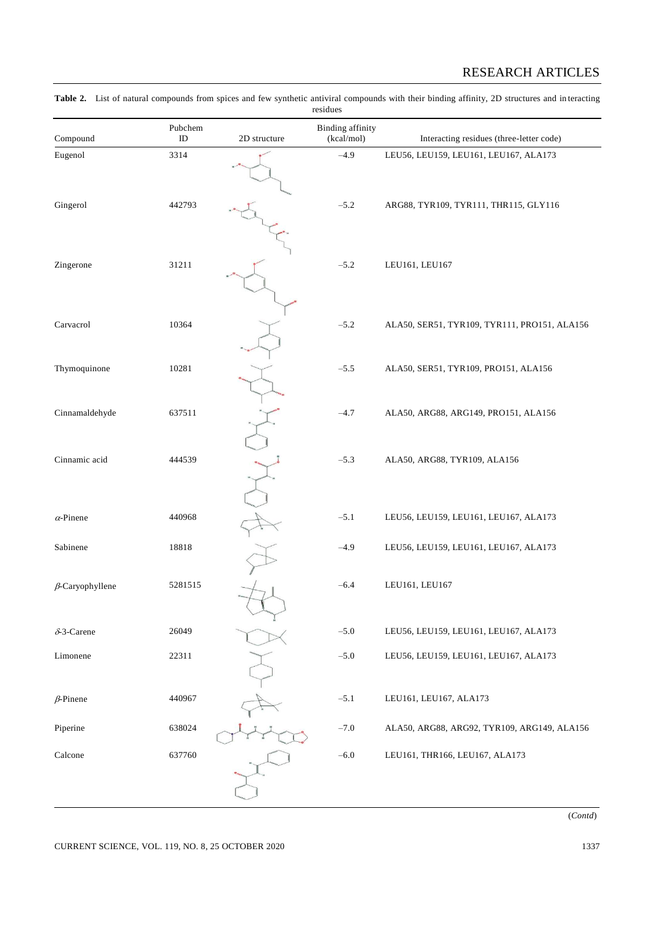# RESEARCH ARTICLES

| residues               |                     |              |                                       |                                              |  |  |
|------------------------|---------------------|--------------|---------------------------------------|----------------------------------------------|--|--|
| Compound               | Pubchem<br>$\rm ID$ | 2D structure | <b>Binding</b> affinity<br>(kcal/mol) | Interacting residues (three-letter code)     |  |  |
| Eugenol                | 3314                |              | $-4.9$                                | LEU56, LEU159, LEU161, LEU167, ALA173        |  |  |
| Gingerol               | 442793              |              | $-5.2$                                | ARG88, TYR109, TYR111, THR115, GLY116        |  |  |
| Zingerone              | 31211               |              | $-5.2$                                | LEU161, LEU167                               |  |  |
| Carvacrol              | 10364               |              | $-5.2$                                | ALA50, SER51, TYR109, TYR111, PRO151, ALA156 |  |  |
| Thymoquinone           | 10281               |              | $-5.5$                                | ALA50, SER51, TYR109, PRO151, ALA156         |  |  |
| Cinnamaldehyde         | 637511              |              | $-4.7$                                | ALA50, ARG88, ARG149, PRO151, ALA156         |  |  |
| Cinnamic acid          | 444539              |              | $-5.3$                                | ALA50, ARG88, TYR109, ALA156                 |  |  |
| $\alpha$ -Pinene       | 440968              |              | $-5.1$                                | LEU56, LEU159, LEU161, LEU167, ALA173        |  |  |
| Sabinene               | 18818               |              | $-4.9$                                | LEU56, LEU159, LEU161, LEU167, ALA173        |  |  |
| $\beta$ -Caryophyllene | 5281515             |              | $-6.4$                                | LEU161, LEU167                               |  |  |
| $\delta$ -3-Carene     | 26049               |              | $-5.0$                                | LEU56, LEU159, LEU161, LEU167, ALA173        |  |  |
| Limonene               | 22311               |              | $-5.0$                                | LEU56, LEU159, LEU161, LEU167, ALA173        |  |  |
| $\beta$ -Pinene        | 440967              |              | $-5.1$                                | LEU161, LEU167, ALA173                       |  |  |
| Piperine               | 638024              |              | $-7.0$                                | ALA50, ARG88, ARG92, TYR109, ARG149, ALA156  |  |  |
| Calcone                | 637760              |              | $-6.0$                                | LEU161, THR166, LEU167, ALA173               |  |  |

**Table 2.** List of natural compounds from spices and few synthetic antiviral compounds with their binding affinity, 2D structures and in teracting

(*Contd*)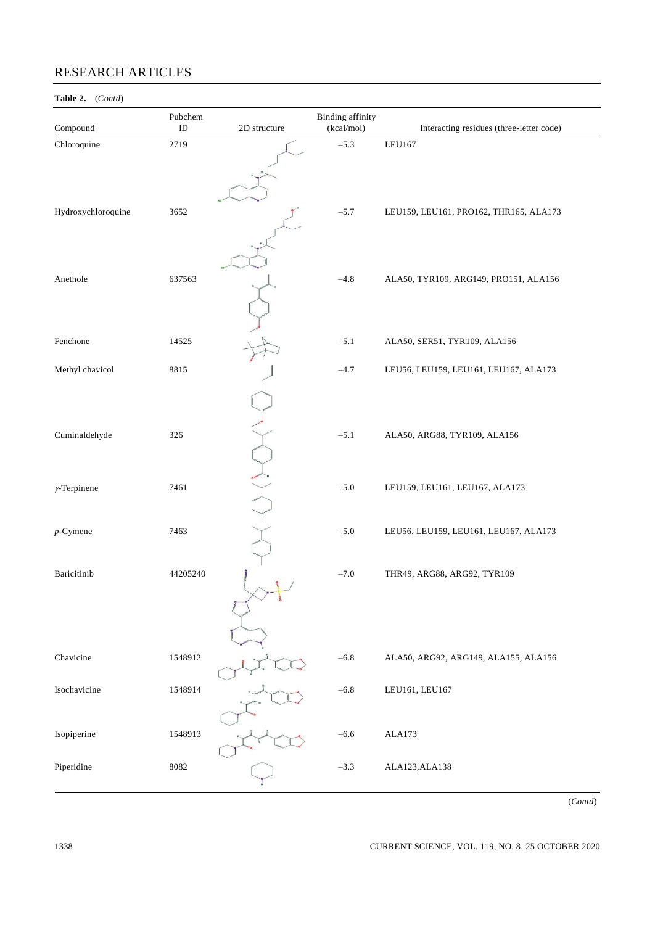# RESEARCH ARTICLES

# **Table 2.** (*Contd*)

| Compound           | Pubchem<br>${\rm ID}$ | 2D structure | <b>Binding</b> affinity<br>(kcal/mol) | Interacting residues (three-letter code) |
|--------------------|-----------------------|--------------|---------------------------------------|------------------------------------------|
| Chloroquine        | 2719                  |              | $-5.3$                                | LEU167                                   |
| Hydroxychloroquine | 3652                  |              | $-5.7$                                | LEU159, LEU161, PRO162, THR165, ALA173   |
| Anethole           | 637563                |              | $-4.8$                                | ALA50, TYR109, ARG149, PRO151, ALA156    |
| Fenchone           | 14525                 |              | $-5.1$                                | ALA50, SER51, TYR109, ALA156             |
| Methyl chavicol    | 8815                  |              | $-4.7$                                | LEU56, LEU159, LEU161, LEU167, ALA173    |
| Cuminaldehyde      | 326                   |              | $-5.1$                                | ALA50, ARG88, TYR109, ALA156             |
| $\nu$ -Terpinene   | 7461                  |              | $-5.0$                                | LEU159, LEU161, LEU167, ALA173           |
| $p$ -Cymene        | 7463                  |              | $-5.0$                                | LEU56, LEU159, LEU161, LEU167, ALA173    |
| Baricitinib        | 44205240              |              | $-7.0$                                | THR49, ARG88, ARG92, TYR109              |
| Chavicine          | 1548912               |              | $-6.8$                                | ALA50, ARG92, ARG149, ALA155, ALA156     |
| Isochavicine       | 1548914               |              | $-6.8$                                | LEU161, LEU167                           |
| Isopiperine        | 1548913               |              | $-6.6$                                | ALA173                                   |
| Piperidine         | 8082                  |              | $-3.3$                                | ALA123, ALA138                           |

(*Contd*)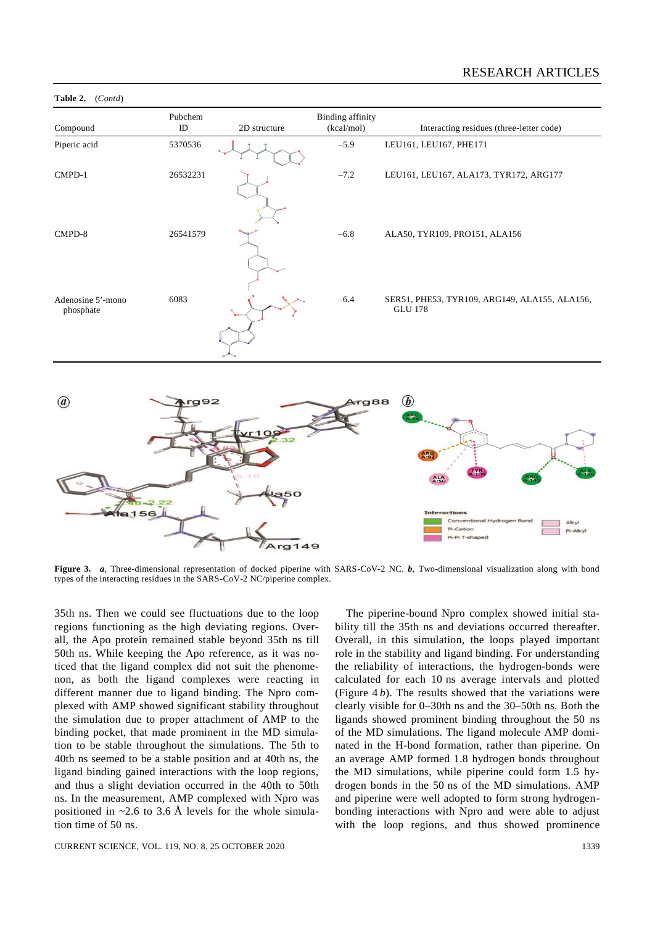

#### **Table 2.** (*Contd*)

 $Cov$ Pi-Cation Pi-Pi T-sha  $ra1$ 49

Figure 3. *a*, Three-dimensional representation of docked piperine with SARS-CoV-2 NC. *b*, Two-dimensional visualization along with bond types of the interacting residues in the SARS-CoV-2 NC/piperine complex.

35th ns. Then we could see fluctuations due to the loop regions functioning as the high deviating regions. Overall, the Apo protein remained stable beyond 35th ns till 50th ns. While keeping the Apo reference, as it was noticed that the ligand complex did not suit the phenomenon, as both the ligand complexes were reacting in different manner due to ligand binding. The Npro complexed with AMP showed significant stability throughout the simulation due to proper attachment of AMP to the binding pocket, that made prominent in the MD simulation to be stable throughout the simulations. The 5th to 40th ns seemed to be a stable position and at 40th ns, the ligand binding gained interactions with the loop regions, and thus a slight deviation occurred in the 40th to 50th ns. In the measurement, AMP complexed with Npro was positioned in  $\sim$ 2.6 to 3.6 Å levels for the whole simulation time of 50 ns.

CURRENT SCIENCE, VOL. 119, NO. 8, 25 OCTOBER 2020 1339

The piperine-bound Npro complex showed initial stability till the 35th ns and deviations occurred thereafter. Overall, in this simulation, the loops played important role in the stability and ligand binding. For understanding the reliability of interactions, the hydrogen-bonds were calculated for each 10 ns average intervals and plotted (Figure 4 *b*). The results showed that the variations were clearly visible for 0–30th ns and the 30–50th ns. Both the ligands showed prominent binding throughout the 50 ns of the MD simulations. The ligand molecule AMP dominated in the H-bond formation, rather than piperine. On an average AMP formed 1.8 hydrogen bonds throughout the MD simulations, while piperine could form 1.5 hydrogen bonds in the 50 ns of the MD simulations. AMP and piperine were well adopted to form strong hydrogenbonding interactions with Npro and were able to adjust with the loop regions, and thus showed prominence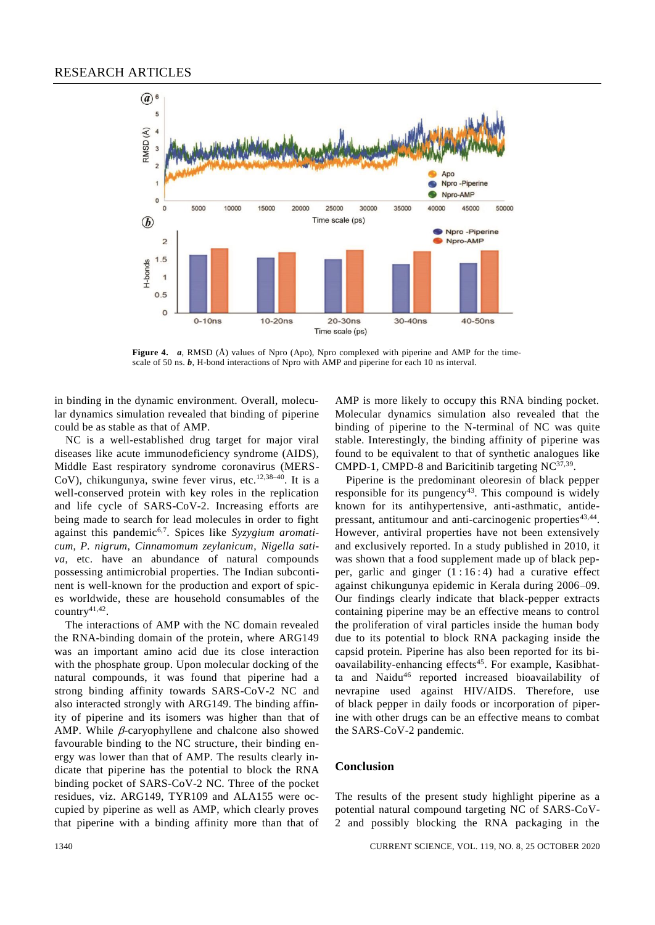

**Figure 4.** *a*, RMSD (Å) values of Npro (Apo), Npro complexed with piperine and AMP for the timescale of 50 ns. *b*, H-bond interactions of Npro with AMP and piperine for each 10 ns interval.

in binding in the dynamic environment. Overall, molecular dynamics simulation revealed that binding of piperine could be as stable as that of AMP.

NC is a well-established drug target for major viral diseases like acute immunodeficiency syndrome (AIDS), Middle East respiratory syndrome coronavirus (MERS-CoV), chikungunya, swine fever virus, etc.<sup>12,38-40</sup>. It is a well-conserved protein with key roles in the replication and life cycle of SARS-CoV-2. Increasing efforts are being made to search for lead molecules in order to fight against this pandemic6,7. Spices like *Syzygium aromaticum*, *P. nigrum*, *Cinnamomum zeylanicum*, *Nigella sativa*, etc. have an abundance of natural compounds possessing antimicrobial properties. The Indian subcontinent is well-known for the production and export of spices worldwide, these are household consumables of the country<sup>41,42</sup>.

The interactions of AMP with the NC domain revealed the RNA-binding domain of the protein, where ARG149 was an important amino acid due its close interaction with the phosphate group. Upon molecular docking of the natural compounds, it was found that piperine had a strong binding affinity towards SARS-CoV-2 NC and also interacted strongly with ARG149. The binding affinity of piperine and its isomers was higher than that of AMP. While  $\beta$ -caryophyllene and chalcone also showed favourable binding to the NC structure, their binding energy was lower than that of AMP. The results clearly indicate that piperine has the potential to block the RNA binding pocket of SARS-CoV-2 NC. Three of the pocket residues, viz. ARG149, TYR109 and ALA155 were occupied by piperine as well as AMP, which clearly proves that piperine with a binding affinity more than that of

AMP is more likely to occupy this RNA binding pocket. Molecular dynamics simulation also revealed that the binding of piperine to the N-terminal of NC was quite stable. Interestingly, the binding affinity of piperine was found to be equivalent to that of synthetic analogues like CMPD-1, CMPD-8 and Baricitinib targeting  $NC^{37,39}$ .

Piperine is the predominant oleoresin of black pepper responsible for its pungency<sup>43</sup>. This compound is widely known for its antihypertensive, anti-asthmatic, antidepressant, antitumour and anti-carcinogenic properties<sup>43,44</sup>. However, antiviral properties have not been extensively and exclusively reported. In a study published in 2010, it was shown that a food supplement made up of black pepper, garlic and ginger  $(1:16:4)$  had a curative effect against chikungunya epidemic in Kerala during 2006–09. Our findings clearly indicate that black-pepper extracts containing piperine may be an effective means to control the proliferation of viral particles inside the human body due to its potential to block RNA packaging inside the capsid protein. Piperine has also been reported for its bioavailability-enhancing effects<sup>45</sup>. For example, Kasibhatta and Naidu<sup>46</sup> reported increased bioavailability of nevrapine used against HIV/AIDS. Therefore, use of black pepper in daily foods or incorporation of piperine with other drugs can be an effective means to combat the SARS-CoV-2 pandemic.

#### **Conclusion**

The results of the present study highlight piperine as a potential natural compound targeting NC of SARS-CoV-2 and possibly blocking the RNA packaging in the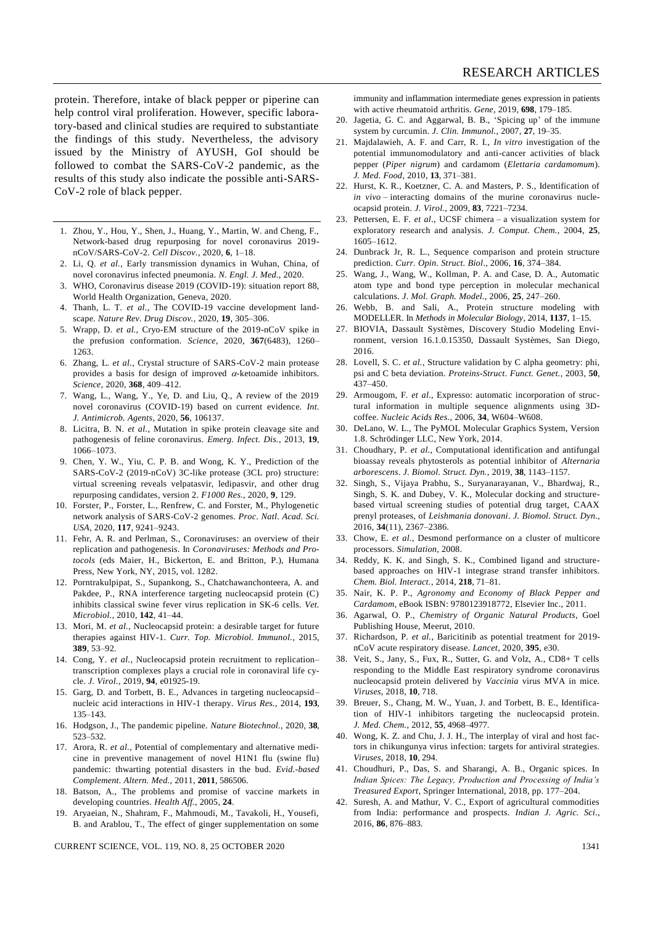protein. Therefore, intake of black pepper or piperine can help control viral proliferation. However, specific laboratory-based and clinical studies are required to substantiate the findings of this study. Nevertheless, the advisory issued by the Ministry of AYUSH, GoI should be followed to combat the SARS-CoV-2 pandemic, as the results of this study also indicate the possible anti-SARS-CoV-2 role of black pepper.

- 1. Zhou, Y., Hou, Y., Shen, J., Huang, Y., Martin, W. and Cheng, F., Network-based drug repurposing for novel coronavirus 2019 nCoV/SARS-CoV-2. *Cell Discov.*, 2020, **6**, 1–18.
- 2. Li, Q. *et al.*, Early transmission dynamics in Wuhan, China, of novel coronavirus infected pneumonia. *N. Engl. J. Med.*, 2020.
- 3. WHO, Coronavirus disease 2019 (COVID-19): situation report 88, World Health Organization, Geneva, 2020.
- 4. Thanh, L. T. *et al.*, The COVID-19 vaccine development landscape. *Nature Rev. Drug Discov.*, 2020, **19**, 305–306.
- 5. Wrapp, D. *et al.*, Cryo-EM structure of the 2019-nCoV spike in the prefusion conformation. *Science*, 2020, **367**(6483), 1260– 1263.
- 6. Zhang, L. *et al.*, Crystal structure of SARS-CoV-2 main protease provides a basis for design of improved  $\alpha$ -ketoamide inhibitors. *Science*, 2020, **368**, 409–412.
- 7. Wang, L., Wang, Y., Ye, D. and Liu, Q., A review of the 2019 novel coronavirus (COVID-19) based on current evidence. *Int. J. Antimicrob. Agents*, 2020, **56**, 106137.
- 8. Licitra, B. N. *et al.*, Mutation in spike protein cleavage site and pathogenesis of feline coronavirus. *Emerg. Infect. Dis.*, 2013, **19**, 1066–1073.
- 9. Chen, Y. W., Yiu, C. P. B. and Wong, K. Y., Prediction of the SARS-CoV-2 (2019-nCoV) 3C-like protease (3CL pro) structure: virtual screening reveals velpatasvir, ledipasvir, and other drug repurposing candidates, version 2. *F1000 Res.*, 2020, **9**, 129.
- 10. Forster, P., Forster, L., Renfrew, C. and Forster, M., Phylogenetic network analysis of SARS-CoV-2 genomes. *Proc. Natl. Acad. Sci. USA*, 2020, **117**, 9241–9243.
- 11. Fehr, A. R. and Perlman, S., Coronaviruses: an overview of their replication and pathogenesis. In *Coronaviruses: Methods and Protocols* (eds Maier, H., Bickerton, E. and Britton, P.), Humana Press, New York, NY, 2015, vol. 1282.
- 12. Porntrakulpipat, S., Supankong, S., Chatchawanchonteera, A. and Pakdee, P., RNA interference targeting nucleocapsid protein (C) inhibits classical swine fever virus replication in SK-6 cells. *Vet. Microbiol.*, 2010, **142**, 41–44.
- 13. Mori, M. *et al.*, Nucleocapsid protein: a desirable target for future therapies against HIV-1. *Curr. Top. Microbiol. Immunol.*, 2015, **389**, 53–92.
- 14. Cong, Y. *et al.*, Nucleocapsid protein recruitment to replication– transcription complexes plays a crucial role in coronaviral life cycle. *J. Virol.*, 2019, **94**, e01925-19.
- 15. Garg, D. and Torbett, B. E., Advances in targeting nucleocapsid– nucleic acid interactions in HIV-1 therapy. *Virus Res.*, 2014, **193**, 135–143.
- 16. Hodgson, J., The pandemic pipeline. *Nature Biotechnol.*, 2020, **38**, 523–532.
- 17. Arora, R. *et al.*, Potential of complementary and alternative medicine in preventive management of novel H1N1 flu (swine flu) pandemic: thwarting potential disasters in the bud. *Evid.-based Complement. Altern. Med.*, 2011, **2011**, 586506.
- 18. Batson, A., The problems and promise of vaccine markets in developing countries. *Health Aff.*, 2005, **24**.
- 19. Aryaeian, N., Shahram, F., Mahmoudi, M., Tavakoli, H., Yousefi, B. and Arablou, T., The effect of ginger supplementation on some

CURRENT SCIENCE, VOL. 119, NO. 8, 25 OCTOBER 2020 1341

immunity and inflammation intermediate genes expression in patients with active rheumatoid arthritis. *Gene*, 2019, **698**, 179–185.

- 20. Jagetia, G. C. and Aggarwal, B. B., 'Spicing up' of the immune system by curcumin. *J. Clin. Immunol.*, 2007, **27**, 19–35.
- 21. Majdalawieh, A. F. and Carr, R. I., *In vitro* investigation of the potential immunomodulatory and anti-cancer activities of black pepper (*Piper nigrum*) and cardamom (*Elettaria cardamomum*). *J. Med. Food*, 2010, **13**, 371–381.
- 22. Hurst, K. R., Koetzner, C. A. and Masters, P. S., Identification of *in vivo* – interacting domains of the murine coronavirus nucleocapsid protein. *J. Virol.*, 2009, **83**, 7221–7234.
- 23. Pettersen, E. F. *et al*., UCSF chimera a visualization system for exploratory research and analysis. *J. Comput. Chem.*, 2004, **25**, 1605–1612.
- 24. Dunbrack Jr, R. L., Sequence comparison and protein structure prediction. *Curr. Opin. Struct. Biol*., 2006, **16**, 374–384.
- 25. Wang, J., Wang, W., Kollman, P. A. and Case, D. A., Automatic atom type and bond type perception in molecular mechanical calculations. *J. Mol. Graph. Model.*, 2006, **25**, 247–260.
- 26. Webb, B. and Sali, A., Protein structure modeling with MODELLER. In *Methods in Molecular Biology*, 2014, **1137**, 1–15.
- 27. BIOVIA, Dassault Systèmes, Discovery Studio Modeling Environment, version 16.1.0.15350, Dassault Systèmes, San Diego, 2016.
- 28. Lovell, S. C. *et al.*, Structure validation by C alpha geometry: phi, psi and C beta deviation. *Proteins-Struct. Funct. Genet.*, 2003, **50**, 437–450.
- 29. Armougom, F. *et al.*, Expresso: automatic incorporation of structural information in multiple sequence alignments using 3Dcoffee. *Nucleic Acids Res.*, 2006, **34**, W604–W608.
- 30. DeLano, W. L., The PyMOL Molecular Graphics System, Version 1.8. Schrödinger LLC, New York, 2014.
- 31. Choudhary, P. *et al.*, Computational identification and antifungal bioassay reveals phytosterols as potential inhibitor of *Alternaria arborescens*. *J. Biomol. Struct. Dyn.*, 2019, **38**, 1143–1157.
- 32. Singh, S., Vijaya Prabhu, S., Suryanarayanan, V., Bhardwaj, R., Singh, S. K. and Dubey, V. K., Molecular docking and structurebased virtual screening studies of potential drug target, CAAX prenyl proteases, of *Leishmania donovani*. *J. Biomol. Struct. Dyn.*, 2016, **34**(11), 2367–2386.
- 33. Chow, E. *et al.*, Desmond performance on a cluster of multicore processors. *Simulation*, 2008.
- 34. Reddy, K. K. and Singh, S. K., Combined ligand and structurebased approaches on HIV-1 integrase strand transfer inhibitors. *Chem. Biol. Interact.*, 2014, **218**, 71–81.
- 35. Nair, K. P. P., *Agronomy and Economy of Black Pepper and Cardamom*, eBook ISBN: 9780123918772, Elsevier Inc., 2011.
- 36. Agarwal, O. P., *Chemistry of Organic Natural Products*, Goel Publishing House, Meerut, 2010.
- 37. Richardson, P. *et al.*, Baricitinib as potential treatment for 2019 nCoV acute respiratory disease. *Lancet*, 2020, **395**, e30.
- 38. Veit, S., Jany, S., Fux, R., Sutter, G. and Volz, A., CD8+ T cells responding to the Middle East respiratory syndrome coronavirus nucleocapsid protein delivered by *Vaccinia* virus MVA in mice. *Viruses*, 2018, **10**, 718.
- 39. Breuer, S., Chang, M. W., Yuan, J. and Torbett, B. E., Identification of HIV-1 inhibitors targeting the nucleocapsid protein. *J. Med. Chem.*, 2012, **55**, 4968–4977.
- 40. Wong, K. Z. and Chu, J. J. H., The interplay of viral and host factors in chikungunya virus infection: targets for antiviral strategies. *Viruses*, 2018, **10**, 294.
- 41. Choudhuri, P., Das, S. and Sharangi, A. B., Organic spices. In *Indian Spices: The Legacy, Production and Processing of India's Treasured Export*, Springer International, 2018, pp. 177–204.
- 42. Suresh, A. and Mathur, V. C., Export of agricultural commodities from India: performance and prospects. *Indian J. Agric. Sci.*, 2016, **86**, 876–883.